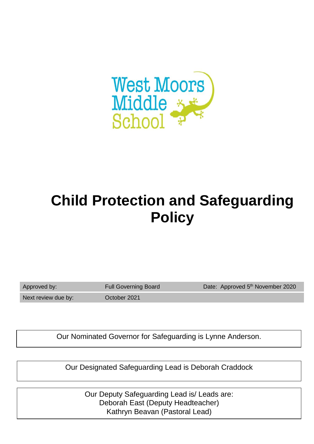

# **Child Protection and Safeguarding Policy**

| Approved by: |  |
|--------------|--|
|              |  |

Full Governing Board Date: Approved 5<sup>th</sup> November 2020

Next review due by: Corober 2021

Our Nominated Governor for Safeguarding is Lynne Anderson.

Our Designated Safeguarding Lead is Deborah Craddock

Our Deputy Safeguarding Lead is/ Leads are: Deborah East (Deputy Headteacher) Kathryn Beavan (Pastoral Lead)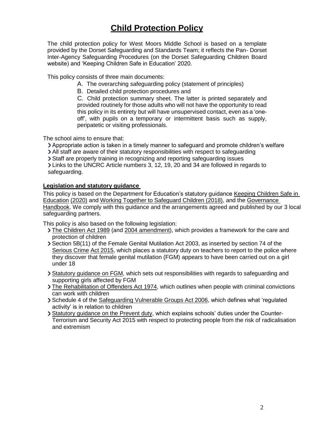# **Child Protection Policy**

The child protection policy for West Moors Middle School is based on a template provided by the Dorset Safeguarding and Standards Team; it reflects the Pan- Dorset Inter-Agency Safeguarding Procedures (on the Dorset Safeguarding Children Board website) and 'Keeping Children Safe in Education' 2020.

This policy consists of three main documents:

- A. The overarching safeguarding policy (statement of principles)
- B. Detailed child protection procedures and

C. Child protection summary sheet. The latter is printed separately and provided routinely for those adults who will not have the opportunity to read this policy in its entirety but will have unsupervised contact, even as a 'oneoff', with pupils on a temporary or intermittent basis such as supply, peripatetic or visiting professionals.

The school aims to ensure that:

- Appropriate action is taken in a timely manner to safeguard and promote children's welfare
- All staff are aware of their statutory responsibilities with respect to safeguarding
- Staff are properly training in recognizing and reporting safeguarding issues

Links to the UNCRC Article numbers 3, 12, 19, 20 and 34 are followed in regards to safeguarding.

#### **Legislation and statutory guidance**

This policy is based on the Department for Education's statutory guidance [Keeping Children Safe in](https://www.gov.uk/government/publications/keeping-children-safe-in-education--2)  [Education](https://www.gov.uk/government/publications/keeping-children-safe-in-education--2) [\(2020\)](https://www.gov.uk/government/publications/keeping-children-safe-in-education--2) and [Working Together to Safeguard Children \(2018\),](https://www.gov.uk/government/publications/working-together-to-safeguard-children--2) and the [Governance](https://www.gov.uk/government/publications/governance-handbook)  [Handbook.](https://www.gov.uk/government/publications/governance-handbook) We comply with this guidance and the arrangements agreed and published by our 3 local safeguarding partners.

This policy is also based on the following legislation:

- [The Children Act 1989](http://www.legislation.gov.uk/ukpga/1989/41) (and [2004 amendment\),](http://www.legislation.gov.uk/ukpga/2004/31/contents) which provides a framework for the care and protection of children
- Section 5B(11) of the Female Genital Mutilation Act 2003, as inserted by section 74 of the [Serious Crime](http://www.legislation.gov.uk/ukpga/2015/9/part/5/crossheading/female-genital-mutilation) [Act 2015,](http://www.legislation.gov.uk/ukpga/2015/9/part/5/crossheading/female-genital-mutilation) which places a statutory duty on teachers to report to the police where they discover that female genital mutilation (FGM) appears to have been carried out on a girl under 18
- [Statutory guidance on FGM,](https://www.gov.uk/government/publications/multi-agency-statutory-guidance-on-female-genital-mutilation) which sets out responsibilities with regards to safeguarding and supporting girls affected by FGM
- [The Rehabilitation of Offenders Act 1974,](http://www.legislation.gov.uk/ukpga/1974/53) which outlines when people with criminal convictions can work with children
- Schedule 4 of the [Safeguarding Vulnerable Groups Act 2006,](http://www.legislation.gov.uk/ukpga/2006/47/schedule/4) which defines what 'regulated activity' is in relation to children
- [Statutory guidance on the Prevent duty,](https://www.gov.uk/government/publications/prevent-duty-guidance) which explains schools' duties under the Counter-Terrorism and Security Act 2015 with respect to protecting people from the risk of radicalisation and extremism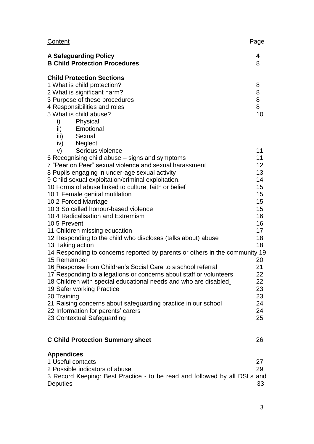| <b>Content</b>                                                                                                                                                                                                                                                                                                                                                                                                                                                                                                                                                                                                                                                                                 | Page                                                                                   |
|------------------------------------------------------------------------------------------------------------------------------------------------------------------------------------------------------------------------------------------------------------------------------------------------------------------------------------------------------------------------------------------------------------------------------------------------------------------------------------------------------------------------------------------------------------------------------------------------------------------------------------------------------------------------------------------------|----------------------------------------------------------------------------------------|
| <b>A Safeguarding Policy</b><br><b>B Child Protection Procedures</b>                                                                                                                                                                                                                                                                                                                                                                                                                                                                                                                                                                                                                           | 4<br>8                                                                                 |
| <b>Child Protection Sections</b><br>1 What is child protection?<br>2 What is significant harm?<br>3 Purpose of these procedures<br>4 Responsibilities and roles<br>5 What is child abuse?<br>i)<br>Physical<br>Emotional<br>ii)<br>iii)<br>Sexual                                                                                                                                                                                                                                                                                                                                                                                                                                              | 8<br>8<br>8<br>8<br>10                                                                 |
| iv)<br>Neglect<br>Serious violence<br>V)<br>6 Recognising child abuse – signs and symptoms<br>7 "Peer on Peer" sexual violence and sexual harassment<br>8 Pupils engaging in under-age sexual activity<br>9 Child sexual exploitation/criminal exploitation.<br>10 Forms of abuse linked to culture, faith or belief<br>10.1 Female genital mutilation<br>10.2 Forced Marriage<br>10.3 So called honour-based violence<br>10.4 Radicalisation and Extremism<br>10.5 Prevent<br>11 Children missing education<br>12 Responding to the child who discloses (talks about) abuse<br>13 Taking action<br>14 Responding to concerns reported by parents or others in the community 19<br>15 Remember | 11<br>11<br>12<br>13<br>14<br>15<br>15<br>15<br>15<br>16<br>16<br>17<br>18<br>18<br>20 |
| 16 Response from Children's Social Care to a school referral<br>17 Responding to allegations or concerns about staff or volunteers<br>18 Children with special educational needs and who are disabled<br>19 Safer working Practice<br>20 Training<br>21 Raising concerns about safeguarding practice in our school<br>22 Information for parents' carers<br>23 Contextual Safeguarding                                                                                                                                                                                                                                                                                                         | 21<br>22<br>22<br>23<br>23<br>24<br>24<br>25                                           |
| <b>C Child Protection Summary sheet</b>                                                                                                                                                                                                                                                                                                                                                                                                                                                                                                                                                                                                                                                        | 26                                                                                     |
| <b>Appendices</b><br>1 Useful contacts<br>2 Possible indicators of abuse<br>3 Record Keeping: Best Practice - to be read and followed by all DSLs and<br><b>Deputies</b>                                                                                                                                                                                                                                                                                                                                                                                                                                                                                                                       | 27<br>29<br>33                                                                         |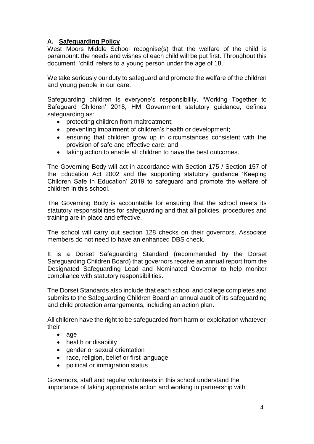## **A. Safeguarding Policy**

West Moors Middle School recognise(s) that the welfare of the child is paramount: the needs and wishes of each child will be put first. Throughout this document, 'child' refers to a young person under the age of 18.

We take seriously our duty to safeguard and promote the welfare of the children and young people in our care.

Safeguarding children is everyone's responsibility. 'Working Together to Safeguard Children' 2018, HM Government statutory guidance, defines safeguarding as:

- protecting children from maltreatment;
- preventing impairment of children's health or development;
- ensuring that children grow up in circumstances consistent with the provision of safe and effective care; and
- taking action to enable all children to have the best outcomes.

The Governing Body will act in accordance with Section 175 / Section 157 of the Education Act 2002 and the supporting statutory guidance 'Keeping Children Safe in Education' 2019 to safeguard and promote the welfare of children in this school.

The Governing Body is accountable for ensuring that the school meets its statutory responsibilities for safeguarding and that all policies, procedures and training are in place and effective.

The school will carry out section 128 checks on their governors. Associate members do not need to have an enhanced DBS check.

It is a Dorset Safeguarding Standard (recommended by the Dorset Safeguarding Children Board) that governors receive an annual report from the Designated Safeguarding Lead and Nominated Governor to help monitor compliance with statutory responsibilities.

The Dorset Standards also include that each school and college completes and submits to the Safeguarding Children Board an annual audit of its safeguarding and child protection arrangements, including an action plan.

All children have the right to be safeguarded from harm or exploitation whatever their

- age
- health or disability
- gender or sexual orientation
- race, religion, belief or first language
- political or immigration status

Governors, staff and regular volunteers in this school understand the importance of taking appropriate action and working in partnership with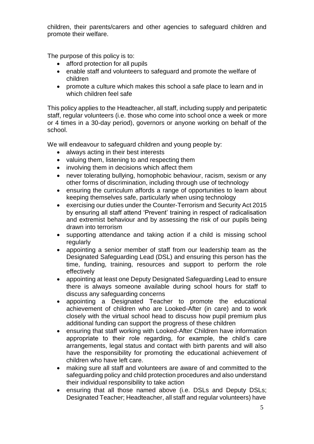children, their parents/carers and other agencies to safeguard children and promote their welfare.

The purpose of this policy is to:

- afford protection for all pupils
- enable staff and volunteers to safeguard and promote the welfare of children
- promote a culture which makes this school a safe place to learn and in which children feel safe

This policy applies to the Headteacher, all staff, including supply and peripatetic staff, regular volunteers (i.e. those who come into school once a week or more or 4 times in a 30-day period), governors or anyone working on behalf of the school.

We will endeavour to safeguard children and young people by:

- always acting in their best interests
- valuing them, listening to and respecting them
- involving them in decisions which affect them
- never tolerating bullying, homophobic behaviour, racism, sexism or any other forms of discrimination, including through use of technology
- ensuring the curriculum affords a range of opportunities to learn about keeping themselves safe, particularly when using technology
- exercising our duties under the Counter-Terrorism and Security Act 2015 by ensuring all staff attend 'Prevent' training in respect of radicalisation and extremist behaviour and by assessing the risk of our pupils being drawn into terrorism
- supporting attendance and taking action if a child is missing school regularly
- appointing a senior member of staff from our leadership team as the Designated Safeguarding Lead (DSL) and ensuring this person has the time, funding, training, resources and support to perform the role effectively
- appointing at least one Deputy Designated Safeguarding Lead to ensure there is always someone available during school hours for staff to discuss any safeguarding concerns
- appointing a Designated Teacher to promote the educational achievement of children who are Looked-After (in care) and to work closely with the virtual school head to discuss how pupil premium plus additional funding can support the progress of these children
- ensuring that staff working with Looked-After Children have information appropriate to their role regarding, for example, the child's care arrangements, legal status and contact with birth parents and will also have the responsibility for promoting the educational achievement of children who have left care.
- making sure all staff and volunteers are aware of and committed to the safeguarding policy and child protection procedures and also understand their individual responsibility to take action
- ensuring that all those named above (i.e. DSLs and Deputy DSLs; Designated Teacher; Headteacher, all staff and regular volunteers) have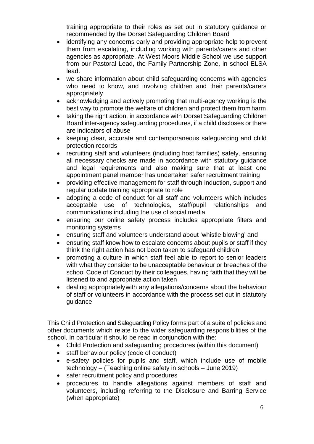training appropriate to their roles as set out in statutory guidance or recommended by the Dorset Safeguarding Children Board

- identifying any concerns early and providing appropriate help to prevent them from escalating, including working with parents/carers and other agencies as appropriate. At West Moors Middle School we use support from our Pastoral Lead, the Family Partnership Zone, in school ELSA lead.
- we share information about child safeguarding concerns with agencies who need to know, and involving children and their parents/carers appropriately
- acknowledging and actively promoting that multi-agency working is the best way to promote the welfare of children and protect them from harm
- taking the right action, in accordance with Dorset Safeguarding Children Board inter-agency safeguarding procedures, if a child discloses or there are indicators of abuse
- keeping clear, accurate and contemporaneous safeguarding and child protection records
- recruiting staff and volunteers (including host families) safely, ensuring all necessary checks are made in accordance with statutory guidance and legal requirements and also making sure that at least one appointment panel member has undertaken safer recruitment training
- providing effective management for staff through induction, support and regular update training appropriate to role
- adopting a code of conduct for all staff and volunteers which includes acceptable use of technologies, staff/pupil relationships and communications including the use of social media
- ensuring our online safety process includes appropriate filters and monitoring systems
- ensuring staff and volunteers understand about 'whistle blowing' and
- ensuring staff know how to escalate concerns about pupils or staff if they think the right action has not been taken to safeguard children
- promoting a culture in which staff feel able to report to senior leaders with what they consider to be unacceptable behaviour or breaches of the school Code of Conduct by their colleagues, having faith that they will be listened to and appropriate action taken
- dealing appropriatelywith any allegations/concerns about the behaviour of staff or volunteers in accordance with the process set out in statutory guidance

This Child Protection and Safeguarding Policy forms part of a suite of policies and other documents which relate to the wider safeguarding responsibilities of the school. In particular it should be read in conjunction with the:

- Child Protection and safeguarding procedures (within this document)
- staff behaviour policy (code of conduct)
- e-safety policies for pupils and staff, which include use of mobile technology – (Teaching online safety in schools – June 2019)
- safer recruitment policy and procedures
- procedures to handle allegations against members of staff and volunteers, including referring to the Disclosure and Barring Service (when appropriate)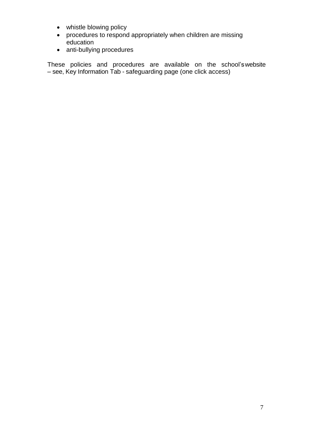- whistle blowing policy
- procedures to respond appropriately when children are missing education
- anti-bullying procedures

These policies and procedures are available on the school'swebsite – see, Key Information Tab - safeguarding page (one click access)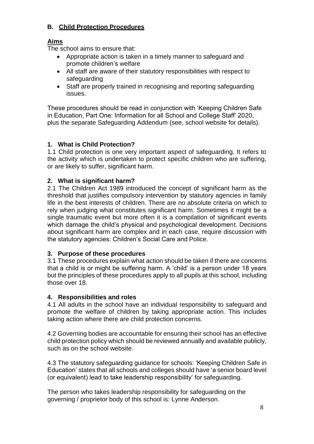## **B. Child Protection Procedures**

## **Aims**

The school aims to ensure that:

- Appropriate action is taken in a timely manner to safeguard and promote children's welfare
- All staff are aware of their statutory responsibilities with respect to safeguarding
- Staff are properly trained in recognising and reporting safeguarding issues.

These procedures should be read in conjunction with 'Keeping Children Safe in Education, Part One: Information for all School and College Staff' 2020, plus the separate Safeguarding Addendum (see, school website for details).

## **1. What is Child Protection?**

1.1 Child protection is one very important aspect of safeguarding. It refers to the activity which is undertaken to protect specific children who are suffering, or are likely to suffer, significant harm.

## **2. What is significant harm?**

2.1 The Children Act 1989 introduced the concept of significant harm as the threshold that justifies compulsory intervention by statutory agencies in family life in the best interests of children. There are no absolute criteria on which to rely when judging what constitutes significant harm. Sometimes it might be a single traumatic event but more often it is a compilation of significant events which damage the child's physical and psychological development. Decisions about significant harm are complex and in each case, require discussion with the statutory agencies: Children's Social Care and Police.

## **3. Purpose of these procedures**

3.1 These procedures explain what action should be taken if there are concerns that a child is or might be suffering harm. A 'child' is a person under 18 years but the principles of these procedures apply to all pupils at this school, including those over 18.

#### **4. Responsibilities and roles**

4.1 All adults in the school have an individual responsibility to safeguard and promote the welfare of children by taking appropriate action. This includes taking action where there are child protection concerns.

4.2 Governing bodies are accountable for ensuring their school has an effective child protection policy which should be reviewed annually and available publicly, such as on the school website.

4.3 The statutory safeguarding guidance for schools: 'Keeping Children Safe in Education' states that all schools and colleges should have 'a senior board level (or equivalent) lead to take leadership responsibility' for safeguarding.

The person who takes leadership responsibility for safeguarding on the governing / proprietor body of this school is: Lynne Anderson.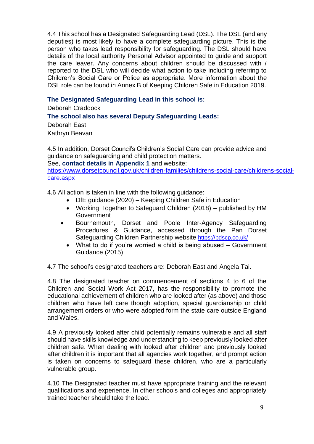4.4 This school has a Designated Safeguarding Lead (DSL). The DSL (and any deputies) is most likely to have a complete safeguarding picture. This is the person who takes lead responsibility for safeguarding. The DSL should have details of the local authority Personal Advisor appointed to guide and support the care leaver. Any concerns about children should be discussed with / reported to the DSL who will decide what action to take including referring to Children's Social Care or Police as appropriate. More information about the DSL role can be found in Annex B of Keeping Children Safe in Education 2019.

**The Designated Safeguarding Lead in this school is:** 

Deborah Craddock **The school also has several Deputy Safeguarding Leads:** Deborah East Kathryn Beavan

4.5 In addition, Dorset Council's Children's Social Care can provide advice and guidance on safeguarding and child protection matters. See, **contact details in Appendix 1** and website: [https://www.dorsetcouncil.gov.uk/children-families/childrens-social-care/childrens-social](https://www.dorsetcouncil.gov.uk/children-families/childrens-social-care/childrens-social-care.aspx)[care.aspx](https://www.dorsetcouncil.gov.uk/children-families/childrens-social-care/childrens-social-care.aspx)

4.6 All action is taken in line with the following guidance:

- DfE guidance (2020) Keeping Children Safe in Education
- Working Together to Safeguard Children (2018) published by HM Government
- Bournemouth, Dorset and Poole Inter-Agency Safeguarding Procedures & Guidance, accessed through the Pan Dorset Safeguarding Children Partnership website <https://pdscp.co.uk/>
	- What to do if you're worried a child is being abused Government Guidance (2015)

4.7 The school's designated teachers are: Deborah East and Angela Tai.

4.8 The designated teacher on commencement of sections 4 to 6 of the Children and Social Work Act 2017, has the responsibility to promote the educational achievement of children who are looked after (as above) and those children who have left care though adoption, special guardianship or child arrangement orders or who were adopted form the state care outside England and Wales.

4.9 A previously looked after child potentially remains vulnerable and all staff should have skills knowledge and understanding to keep previously looked after children safe. When dealing with looked after children and previously looked after children it is important that all agencies work together, and prompt action is taken on concerns to safeguard these children, who are a particularly vulnerable group.

4.10 The Designated teacher must have appropriate training and the relevant qualifications and experience. In other schools and colleges and appropriately trained teacher should take the lead.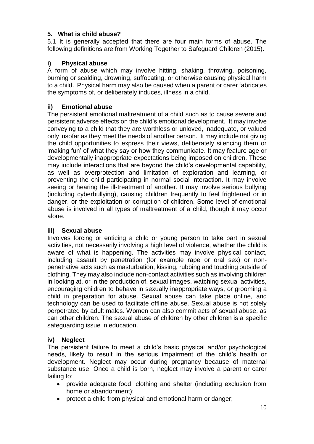## **5. What is child abuse?**

5.1 It is generally accepted that there are four main forms of abuse. The following definitions are from Working Together to Safeguard Children (2015).

## **i) Physical abuse**

A form of abuse which may involve hitting, shaking, throwing, poisoning, burning or scalding, drowning, suffocating, or otherwise causing physical harm to a child. Physical harm may also be caused when a parent or carer fabricates the symptoms of, or deliberately induces, illness in a child.

## **ii) Emotional abuse**

The persistent emotional maltreatment of a child such as to cause severe and persistent adverse effects on the child's emotional development. It may involve conveying to a child that they are worthless or unloved, inadequate, or valued only insofar as they meet the needs of another person. It may include not giving the child opportunities to express their views, deliberately silencing them or 'making fun' of what they say or how they communicate. It may feature age or developmentally inappropriate expectations being imposed on children. These may include interactions that are beyond the child's developmental capability, as well as overprotection and limitation of exploration and learning, or preventing the child participating in normal social interaction. It may involve seeing or hearing the ill-treatment of another. It may involve serious bullying (including cyberbullying), causing children frequently to feel frightened or in danger, or the exploitation or corruption of children. Some level of emotional abuse is involved in all types of maltreatment of a child, though it may occur alone.

## **iii) Sexual abuse**

Involves forcing or enticing a child or young person to take part in sexual activities, not necessarily involving a high level of violence, whether the child is aware of what is happening. The activities may involve physical contact, including assault by penetration (for example rape or oral sex) or nonpenetrative acts such as masturbation, kissing, rubbing and touching outside of clothing. They may also include non-contact activities such as involving children in looking at, or in the production of, sexual images, watching sexual activities, encouraging children to behave in sexually inappropriate ways, or grooming a child in preparation for abuse. Sexual abuse can take place online, and technology can be used to facilitate offline abuse. Sexual abuse is not solely perpetrated by adult males. Women can also commit acts of sexual abuse, as can other children. The sexual abuse of children by other children is a specific safeguarding issue in education.

## **iv) Neglect**

The persistent failure to meet a child's basic physical and/or psychological needs, likely to result in the serious impairment of the child's health or development. Neglect may occur during pregnancy because of maternal substance use. Once a child is born, neglect may involve a parent or carer failing to:

- provide adequate food, clothing and shelter (including exclusion from home or abandonment);
- protect a child from physical and emotional harm or danger: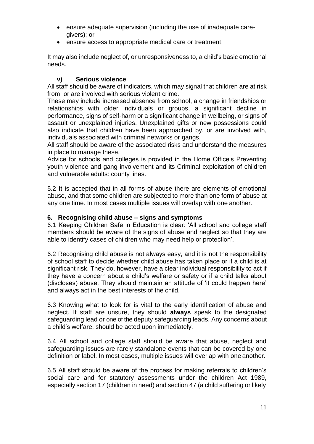- ensure adequate supervision (including the use of inadequate caregivers); or
- ensure access to appropriate medical care or treatment.

It may also include neglect of, or unresponsiveness to, a child's basic emotional needs.

## **v) Serious violence**

<span id="page-10-0"></span>All staff should be aware of indicators, which may signal that children are at risk from, or are involved with serious violent crime.

These may include increased absence from school, a change in friendships or relationships with older individuals or groups, a significant decline in performance, signs of self-harm or a significant change in wellbeing, or signs of assault or unexplained injuries. Unexplained gifts or new possessions could also indicate that children have been approached by, or are involved with, individuals associated with criminal networks or gangs.

All staff should be aware of the associated risks and understand the measures in place to manage these.

Advice for schools and colleges is provided in the Home Office's Preventing youth violence and gang involvement and its Criminal exploitation of children and vulnerable adults: county lines.

5.2 It is accepted that in all forms of abuse there are elements of emotional abuse, and that some children are subjected to more than one form of abuse at any one time. In most cases multiple issues will overlap with one another.

#### <span id="page-10-1"></span>**6. Recognising child abuse – signs and symptoms**

6.1 Keeping Children Safe in Education is clear: 'All school and college staff members should be aware of the signs of abuse and neglect so that they are able to identify cases of children who may need help or protection'.

6.2 Recognising child abuse is not always easy, and it is not the responsibility of school staff to decide whether child abuse has taken place or if a child is at significant risk. They do, however, have a clear individual responsibility to act if they have a concern about a child's welfare or safety or if a child talks about (discloses) abuse. They should maintain an attitude of 'it could happen here' and always act in the best interests of the child.

6.3 Knowing what to look for is vital to the early identification of abuse and neglect. If staff are unsure, they should **always** speak to the designated safeguarding lead or one of the deputy safeguarding leads. Any concerns about a child's welfare, should be acted upon immediately.

6.4 All school and college staff should be aware that abuse, neglect and safeguarding issues are rarely standalone events that can be covered by one definition or label. In most cases, multiple issues will overlap with one another.

6.5 All staff should be aware of the process for making referrals to children's social care and for statutory assessments under the children Act 1989, especially section 17 (children in need) and section 47 (a child suffering or likely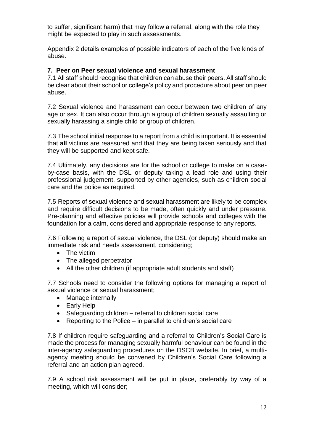to suffer, significant harm) that may follow a referral, along with the role they might be expected to play in such assessments.

Appendix 2 details examples of possible indicators of each of the five kinds of abuse.

## <span id="page-11-0"></span>**7. Peer on Peer sexual violence and sexual harassment**

7.1 All staff should recognise that children can abuse their peers. All staff should be clear about their school or college's policy and procedure about peer on peer abuse.

7.2 Sexual violence and harassment can occur between two children of any age or sex. It can also occur through a group of children sexually assaulting or sexually harassing a single child or group of children.

7.3 The school initial response to a report from a child is important. It is essential that **all** victims are reassured and that they are being taken seriously and that they will be supported and kept safe.

7.4 Ultimately, any decisions are for the school or college to make on a caseby-case basis, with the DSL or deputy taking a lead role and using their professional judgement, supported by other agencies, such as children social care and the police as required.

7.5 Reports of sexual violence and sexual harassment are likely to be complex and require difficult decisions to be made, often quickly and under pressure. Pre-planning and effective policies will provide schools and colleges with the foundation for a calm, considered and appropriate response to any reports.

7.6 Following a report of sexual violence, the DSL (or deputy) should make an immediate risk and needs assessment, considering;

- The victim
- The alleged perpetrator
- All the other children (if appropriate adult students and staff)

7.7 Schools need to consider the following options for managing a report of sexual violence or sexual harassment;

- Manage internally
- Early Help
- Safeguarding children referral to children social care
- Reporting to the Police in parallel to children's social care

7.8 If children require safeguarding and a referral to Children's Social Care is made the process for managing sexually harmful behaviour can be found in the inter-agency safeguarding procedures on the DSCB website. In brief, a multiagency meeting should be convened by Children's Social Care following a referral and an action plan agreed.

7.9 A school risk assessment will be put in place, preferably by way of a meeting, which will consider;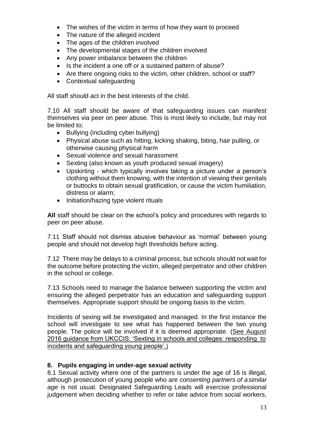- The wishes of the victim in terms of how they want to proceed
- The nature of the alleged incident
- The ages of the children involved
- The developmental stages of the children involved
- Any power imbalance between the children
- Is the incident a one off or a sustained pattern of abuse?
- Are there ongoing risks to the victim, other children, school or staff?
- Contextual safeguarding

All staff should act in the best interests of the child.

7.10 All staff should be aware of that safeguarding issues can manifest themselves via peer on peer abuse. This is most likely to include, but may not be limited to;

- Bullying (including cyber bullying)
- Physical abuse such as hitting, kicking shaking, biting, hair pulling, or otherwise causing physical harm
- Sexual violence and sexual harassment
- Sexting (also known as youth produced sexual imagery)
- Upskirting which typically involves taking a picture under a person's clothing without them knowing, with the intention of viewing their genitals or buttocks to obtain sexual gratification, or cause the victim humiliation, distress or alarm;
- Initiation/hazing type violent rituals

**All** staff should be clear on the school's policy and procedures with regards to peer on peer abuse.

7.11 Staff should not dismiss abusive behaviour as 'normal' between young people and should not develop high thresholds before acting.

7.12 There may be delays to a criminal process, but schools should not wait for the outcome before protecting the victim, alleged perpetrator and other children in the school or college.

7.13 Schools need to manage the balance between supporting the victim and ensuring the alleged perpetrator has an education and safeguarding support themselves. Appropriate support should be ongoing basis to the victim.

Incidents of sexing will be investigated and managed. In the first instance the school will investigate to see what has happened between the two young people. The police will be involved if it is deemed appropriate. (See August 2016 guidance from UKCCIS: 'Sexting in schools and colleges: responding to incidents and safeguarding young people'.)

## <span id="page-12-0"></span>**8. Pupils engaging in under-age sexual activity**

8.1 Sexual activity where one of the partners is under the age of 16 is illegal, although prosecution of young people who are *consenting partners of asimilar age* is not usual. Designated Safeguarding Leads will exercise professional judgement when deciding whether to refer or take advice from social workers,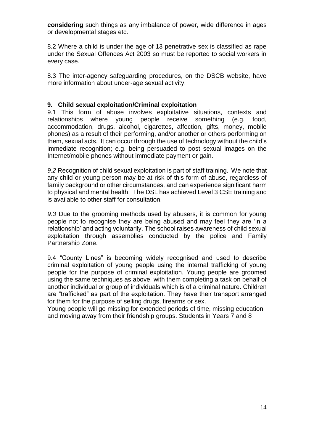**considering** such things as any imbalance of power, wide difference in ages or developmental stages etc.

8.2 Where a child is under the age of 13 penetrative sex is classified as rape under the Sexual Offences Act 2003 so must be reported to social workers in every case.

8.3 The inter-agency safeguarding procedures, on the DSCB website, have more information about under-age sexual activity.

#### <span id="page-13-0"></span>**9. Child sexual exploitation/Criminal exploitation**

9.1 This form of abuse involves exploitative situations, contexts and relationships where young people receive something (e.g. food, receive something (e.g. food, accommodation, drugs, alcohol, cigarettes, affection, gifts, money, mobile phones) as a result of their performing, and/or another or others performing on them, sexual acts. It can occur through the use of technology without the child's immediate recognition; e.g. being persuaded to post sexual images on the Internet/mobile phones without immediate payment or gain.

*9.2* Recognition of child sexual exploitation is part of staff training. We note that any child or young person may be at risk of this form of abuse, regardless of family background or other circumstances, and can experience significant harm to physical and mental health. The DSL has achieved Level 3 CSE training and is available to other staff for consultation.

*9.3* Due to the grooming methods used by abusers, it is common for young people not to recognise they are being abused and may feel they are 'in a relationship' and acting voluntarily. The school raises awareness of child sexual exploitation through assemblies conducted by the police and Family Partnership Zone.

9.4 "County Lines" is becoming widely recognised and used to describe criminal exploitation of young people using the internal trafficking of young people for the purpose of criminal exploitation. Young people are groomed using the same techniques as above, with them completing a task on behalf of another individual or group of individuals which is of a criminal nature. Children are "trafficked" as part of the exploitation. They have their transport arranged for them for the purpose of selling drugs, firearms or sex.

Young people will go missing for extended periods of time, missing education and moving away from their friendship groups. Students in Years 7 and 8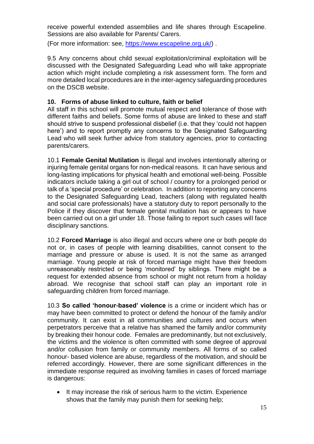receive powerful extended assemblies and life shares through Escapeline. Sessions are also available for Parents/ Carers.

(For more information: see, [https://www.escapeline.org.uk/\)](https://www.escapeline.org.uk/) .

9.5 Any concerns about child sexual exploitation/criminal exploitation will be discussed with the Designated Safeguarding Lead who will take appropriate action which might include completing a risk assessment form. The form and more detailed local procedures are in the inter-agency safeguarding procedures on the DSCB website.

## <span id="page-14-0"></span>**10. Forms of abuse linked to culture, faith or belief**

All staff in this school will promote mutual respect and tolerance of those with different faiths and beliefs. Some forms of abuse are linked to these and staff should strive to suspend professional disbelief (i.e. that they 'could not happen here') and to report promptly any concerns to the Designated Safeguarding Lead who will seek further advice from statutory agencies, prior to contacting parents/carers.

10.1 **Female Genital Mutilation** is illegal and involves intentionally altering or injuring female genital organs for non-medical reasons. It can have serious and long-lasting implications for physical health and emotional well-being. Possible indicators include taking a girl out of school / country for a prolonged period or talk of a 'special procedure' or celebration. In addition to reporting any concerns to the Designated Safeguarding Lead, teachers (along with regulated health and social care professionals) have a statutory duty to report personally to the Police if they discover that female genital mutilation has or appears to have been carried out on a girl under 18. Those failing to report such cases will face disciplinary sanctions.

10.2 **Forced Marriage** is also illegal and occurs where one or both people do not or, in cases of people with learning disabilities, cannot consent to the marriage and pressure or abuse is used. It is not the same as arranged marriage. Young people at risk of forced marriage might have their freedom unreasonably restricted or being 'monitored' by siblings. There might be a request for extended absence from school or might not return from a holiday abroad. We recognise that school staff can play an important role in safeguarding children from forced marriage.

10.3 **So called 'honour-based' violence** is a crime or incident which has or may have been committed to protect or defend the honour of the family and/or community. It can exist in all communities and cultures and occurs when perpetrators perceive that a relative has shamed the family and/or community by breaking their honour code. Females are predominantly, but not exclusively, the victims and the violence is often committed with some degree of approval and/or collusion from family or community members. All forms of so called honour- based violence are abuse, regardless of the motivation, and should be referred accordingly. However, there are some significant differences in the immediate response required as involving families in cases of forced marriage is dangerous:

• It may increase the risk of serious harm to the victim. Experience shows that the family may punish them for seeking help;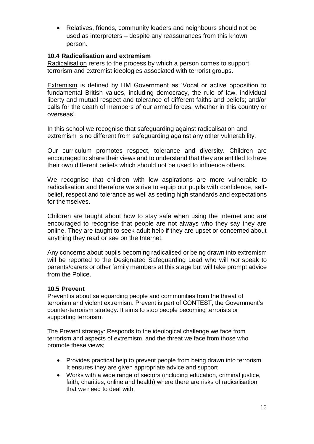Relatives, friends, community leaders and neighbours should not be used as interpreters – despite any reassurances from this known person.

## <span id="page-15-0"></span>**10.4 Radicalisation and extremism**

Radicalisation refers to the process by which a person comes to support terrorism and extremist ideologies associated with terrorist groups.

Extremism is defined by HM Government as 'Vocal or active opposition to fundamental British values, including democracy, the rule of law, individual liberty and mutual respect and tolerance of different faiths and beliefs; and/or calls for the death of members of our armed forces, whether in this country or overseas'.

In this school we recognise that safeguarding against radicalisation and extremism is no different from safeguarding against any other vulnerability*.*

Our curriculum promotes respect, tolerance and diversity. Children are encouraged to share their views and to understand that they are entitled to have their own different beliefs which should not be used to influence others.

We recognise that children with low aspirations are more vulnerable to radicalisation and therefore we strive to equip our pupils with confidence, selfbelief, respect and tolerance as well as setting high standards and expectations for themselves.

Children are taught about how to stay safe when using the Internet and are encouraged to recognise that people are not always who they say they are online. They are taught to seek adult help if they are upset or concerned about anything they read or see on the Internet.

Any concerns about pupils becoming radicalised or being drawn into extremism will be reported to the Designated Safeguarding Lead who will *not* speak to parents/carers or other family members at this stage but will take prompt advice from the Police.

#### <span id="page-15-1"></span>**10.5 Prevent**

Prevent is about safeguarding people and communities from the threat of terrorism and violent extremism. Prevent is part of CONTEST, the Government's counter-terrorism strategy. It aims to stop people becoming terrorists or supporting terrorism.

The Prevent strategy: Responds to the ideological challenge we face from terrorism and aspects of extremism, and the threat we face from those who promote these views;

- Provides practical help to prevent people from being drawn into terrorism. It ensures they are given appropriate advice and support
- Works with a wide range of sectors (including education, criminal justice, faith, charities, online and health) where there are risks of radicalisation that we need to deal with.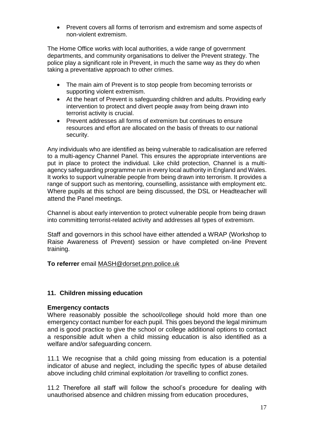Prevent covers all forms of terrorism and extremism and some aspects of non-violent extremism.

The Home Office works with local authorities, a wide range of government departments, and community organisations to deliver the Prevent strategy. The police play a significant role in Prevent, in much the same way as they do when taking a preventative approach to other crimes.

- The main aim of Prevent is to stop people from becoming terrorists or supporting violent extremism.
- At the heart of Prevent is safeguarding children and adults. Providing early intervention to protect and divert people away from being drawn into terrorist activity is crucial.
- Prevent addresses all forms of extremism but continues to ensure resources and effort are allocated on the basis of threats to our national security.

Any individuals who are identified as being vulnerable to radicalisation are referred to a multi-agency Channel Panel. This ensures the appropriate interventions are put in place to protect the individual. Like child protection, Channel is a multiagency safeguarding programme run in every local authority in England and Wales. It works to support vulnerable people from being drawn into terrorism. It provides a range of support such as mentoring, counselling, assistance with employment etc. Where pupils at this school are being discussed, the DSL or Headteacher will attend the Panel meetings.

Channel is about early intervention to protect vulnerable people from being drawn into committing terrorist-related activity and addresses all types of extremism.

Staff and governors in this school have either attended a WRAP (Workshop to Raise Awareness of Prevent) session or have completed on-line Prevent training.

**To referrer** email [MASH@dorset.pnn.police.uk](mailto:mash@dorset.pnn.police.uk)

#### <span id="page-16-0"></span>**11. Children missing education**

#### **Emergency contacts**

Where reasonably possible the school/college should hold more than one emergency contact number for each pupil. This goes beyond the legal minimum and is good practice to give the school or college additional options to contact a responsible adult when a child missing education is also identified as a welfare and/or safeguarding concern.

11.1 We recognise that a child going missing from education is a potential indicator of abuse and neglect, including the specific types of abuse detailed above including child criminal exploitation /or travelling to conflict zones.

11.2 Therefore all staff will follow the school's procedure for dealing with unauthorised absence and children missing from education procedures,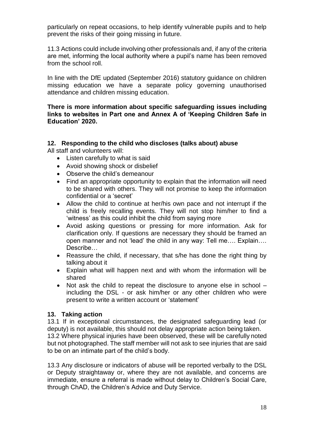particularly on repeat occasions, to help identify vulnerable pupils and to help prevent the risks of their going missing in future.

11.3 Actions could include involving other professionals and, if any of the criteria are met, informing the local authority where a pupil's name has been removed from the school roll.

In line with the DfE updated (September 2016) statutory guidance on children missing education we have a separate policy governing unauthorised attendance and children missing education.

#### **There is more information about specific safeguarding issues including links to websites in Part one and Annex A of 'Keeping Children Safe in Education' 2020.**

## <span id="page-17-0"></span>**12. Responding to the child who discloses (talks about) abuse**

All staff and volunteers will:

- Listen carefully to what is said
- Avoid showing shock or disbelief
- Observe the child's demeanour
- Find an appropriate opportunity to explain that the information will need to be shared with others. They will not promise to keep the information confidential or a 'secret'
- Allow the child to continue at her/his own pace and not interrupt if the child is freely recalling events. They will not stop him/her to find a 'witness' as this could inhibit the child from saying more
- Avoid asking questions or pressing for more information. Ask for clarification only. If questions are necessary they should be framed an open manner and not 'lead' the child in any way: Tell me…. Explain…. Describe…
- Reassure the child, if necessary, that s/he has done the right thing by talking about it
- Explain what will happen next and with whom the information will be shared
- Not ask the child to repeat the disclosure to anyone else in school including the DSL - or ask him/her or any other children who were present to write a written account or 'statement'

#### <span id="page-17-1"></span>**13. Taking action**

13.1 If in exceptional circumstances, the designated safeguarding lead (or deputy) is not available, this should not delay appropriate action being taken. 13.2 Where physical injuries have been observed, these will be carefully noted but not photographed. The staff member will not ask to see injuries that are said to be on an intimate part of the child's body.

13.3 Any disclosure or indicators of abuse will be reported verbally to the DSL or Deputy straightaway or, where they are not available, and concerns are immediate, ensure a referral is made without delay to Children's Social Care, through ChAD, the Children's Advice and Duty Service.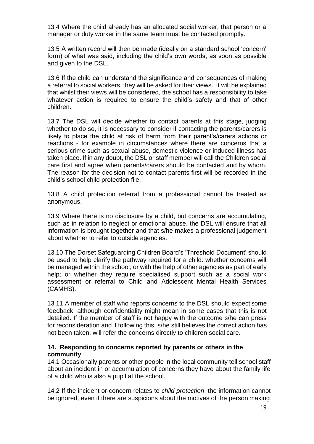13.4 Where the child already has an allocated social worker, that person or a manager or duty worker in the same team must be contacted promptly.

13.5 A written record will then be made (ideally on a standard school 'concern' form) of what was said, including the child's own words, as soon as possible and given to the DSL.

13.6 If the child can understand the significance and consequences of making a referral to social workers, they will be asked for their views. It will be explained that whilst their views will be considered, the school has a responsibility to take whatever action is required to ensure the child's safety and that of other children.

13.7 The DSL will decide whether to contact parents at this stage, judging whether to do so, it is necessary to consider if contacting the parents/carers is likely to place the child at risk of harm from their parent's/carers actions or reactions - for example in circumstances where there are concerns that a serious crime such as sexual abuse, domestic violence or induced illness has taken place. If in any doubt, the DSL or staff member will call the Children social care first and agree when parents/carers should be contacted and by whom. The reason for the decision not to contact parents first will be recorded in the child's school child protection file.

13.8 A child protection referral from a professional cannot be treated as anonymous.

13.9 Where there is no disclosure by a child, but concerns are accumulating, such as in relation to neglect or emotional abuse, the DSL will ensure that all information is brought together and that s/he makes a professional judgement about whether to refer to outside agencies.

13.10 The Dorset Safeguarding Children Board's 'Threshold Document' should be used to help clarify the pathway required for a child: whether concerns will be managed within the school; or with the help of other agencies as part of early help; or whether they require specialised support such as a social work assessment or referral to Child and Adolescent Mental Health Services (CAMHS).

13.11 A member of staff who reports concerns to the DSL should expect some feedback, although confidentiality might mean in some cases that this is not detailed. If the member of staff is not happy with the outcome s/he can press for reconsideration and if following this, s/he still believes the correct action has not been taken, will refer the concerns directly to children social care.

#### **14. Responding to concerns reported by parents or others in the community**

14.1 Occasionally parents or other people in the local community tell school staff about an incident in or accumulation of concerns they have about the family life of a child who is also a pupil at the school.

14.2 If the incident or concern relates to *child protection*, the information cannot be ignored, even if there are suspicions about the motives of the person making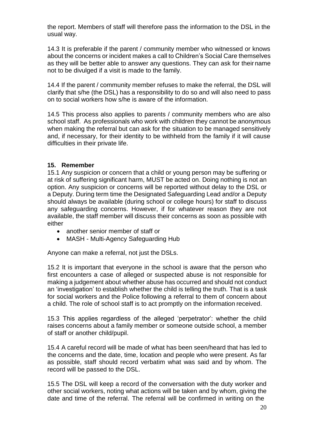the report. Members of staff will therefore pass the information to the DSL in the usual way.

14.3 It is preferable if the parent / community member who witnessed or knows about the concerns or incident makes a call to Children's Social Care themselves as they will be better able to answer any questions. They can ask for their name not to be divulged if a visit is made to the family.

14.4 If the parent / community member refuses to make the referral, the DSL will clarify that s/he (the DSL) has a responsibility to do so and will also need to pass on to social workers how s/he is aware of the information.

14.5 This process also applies to parents / community members who are also school staff. As professionals who work with children they cannot be anonymous when making the referral but can ask for the situation to be managed sensitively and, if necessary, for their identity to be withheld from the family if it will cause difficulties in their private life.

## **15. Remember**

15.1 Any suspicion or concern that a child or young person may be suffering or at risk of suffering significant harm, MUST be acted on. Doing nothing is not an option. Any suspicion or concerns will be reported without delay to the DSL or a Deputy. During term time the Designated Safeguarding Lead and/or a Deputy should always be available (during school or college hours) for staff to discuss any safeguarding concerns. However, if for whatever reason they are not available, the staff member will discuss their concerns as soon as possible with either

- another senior member of staff or
- MASH Multi-Agency Safeguarding Hub

Anyone can make a referral, not just the DSLs.

15.2 It is important that everyone in the school is aware that the person who first encounters a case of alleged or suspected abuse is not responsible for making a judgement about whether abuse has occurred and should not conduct an 'investigation' to establish whether the child is telling the truth. That is a task for social workers and the Police following a referral to them of concern about a child. The role of school staff is to act promptly on the information received.

15.3 This applies regardless of the alleged 'perpetrator': whether the child raises concerns about a family member or someone outside school, a member of staff or another child/pupil.

15.4 A careful record will be made of what has been seen/heard that has led to the concerns and the date, time, location and people who were present. As far as possible, staff should record verbatim what was said and by whom. The record will be passed to the DSL.

15.5 The DSL will keep a record of the conversation with the duty worker and other social workers, noting what actions will be taken and by whom, giving the date and time of the referral. The referral will be confirmed in writing on the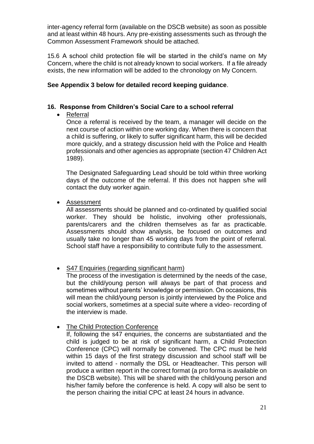inter-agency referral form (available on the DSCB website) as soon as possible and at least within 48 hours. Any pre-existing assessments such as through the Common Assessment Framework should be attached.

15.6 A school child protection file will be started in the child's name on My Concern, where the child is not already known to social workers. If a file already exists, the new information will be added to the chronology on My Concern.

## **See Appendix 3 below for detailed record keeping guidance**.

## <span id="page-20-0"></span>**16. Response from Children's Social Care to a school referral**

• Referral

Once a referral is received by the team, a manager will decide on the next course of action within one working day. When there is concern that a child is suffering, or likely to suffer significant harm, this will be decided more quickly, and a strategy discussion held with the Police and Health professionals and other agencies as appropriate (section 47 Children Act 1989).

The Designated Safeguarding Lead should be told within three working days of the outcome of the referral. If this does not happen s/he will contact the duty worker again.

Assessment

All assessments should be planned and co-ordinated by qualified social worker. They should be holistic, involving other professionals, parents/carers and the children themselves as far as practicable. Assessments should show analysis, be focused on outcomes and usually take no longer than 45 working days from the point of referral. School staff have a responsibility to contribute fully to the assessment.

• S47 Enquiries (regarding significant harm)

The process of the investigation is determined by the needs of the case, but the child/young person will always be part of that process and sometimes without parents' knowledge or permission. On occasions, this will mean the child/young person is jointly interviewed by the Police and social workers, sometimes at a special suite where a video- recording of the interview is made.

## The Child Protection Conference

If, following the s47 enquiries, the concerns are substantiated and the child is judged to be at risk of significant harm, a Child Protection Conference (CPC) will normally be convened. The CPC must be held within 15 days of the first strategy discussion and school staff will be invited to attend - normally the DSL or Headteacher. This person will produce a written report in the correct format (a pro forma is available on the DSCB website). This will be shared with the child/young person and his/her family before the conference is held. A copy will also be sent to the person chairing the initial CPC at least 24 hours in advance.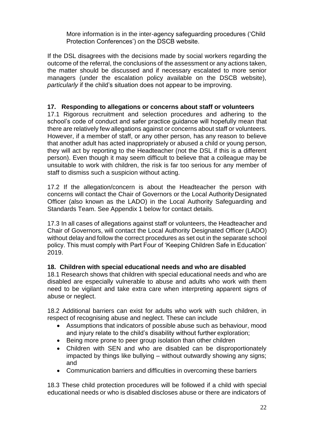More information is in the inter-agency safeguarding procedures ('Child Protection Conferences') on the DSCB website.

If the DSL disagrees with the decisions made by social workers regarding the outcome of the referral, the conclusions of the assessment or any actions taken, the matter should be discussed and if necessary escalated to more senior managers (under the escalation policy available on the DSCB website), *particularly* if the child's situation does not appear to be improving.

## <span id="page-21-0"></span>**17. Responding to allegations or concerns about staff or volunteers**

17.1 Rigorous recruitment and selection procedures and adhering to the school's code of conduct and safer practice guidance will hopefully mean that there are relatively few allegations against or concerns about staff or volunteers. However, if a member of staff, or any other person, has any reason to believe that another adult has acted inappropriately or abused a child or young person, they will act by reporting to the Headteacher (not the DSL if this is a different person). Even though it may seem difficult to believe that a colleague may be unsuitable to work with children, the risk is far too serious for any member of staff to dismiss such a suspicion without acting.

17.2 If the allegation/concern is about the Headteacher the person with concerns will contact the Chair of Governors or the Local Authority Designated Officer (also known as the LADO) in the Local Authority Safeguarding and Standards Team. See Appendix 1 below for contact details.

17.3 In all cases of allegations against staff or volunteers, the Headteacher and Chair of Governors, will contact the Local Authority Designated Officer (LADO) without delay and follow the correct procedures as set out in the separate school policy. This must comply with Part Four of 'Keeping Children Safe in Education' 2019.

#### <span id="page-21-1"></span>**18. Children with special educational needs and who are disabled**

18.1 Research shows that children with special educational needs and who are disabled are especially vulnerable to abuse and adults who work with them need to be vigilant and take extra care when interpreting apparent signs of abuse or neglect.

18.2 Additional barriers can exist for adults who work with such children, in respect of recognising abuse and neglect. These can include

- Assumptions that indicators of possible abuse such as behaviour, mood and injury relate to the child's disability without further exploration;
- Being more prone to peer group isolation than other children
- Children with SEN and who are disabled can be disproportionately impacted by things like bullying – without outwardly showing any signs; and
- Communication barriers and difficulties in overcoming these barriers

18.3 These child protection procedures will be followed if a child with special educational needs or who is disabled discloses abuse or there are indicators of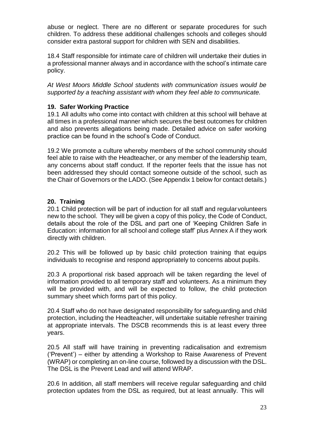abuse or neglect. There are no different or separate procedures for such children. To address these additional challenges schools and colleges should consider extra pastoral support for children with SEN and disabilities.

18.4 Staff responsible for intimate care of children will undertake their duties in a professional manner always and in accordance with the school's intimate care policy.

*At West Moors Middle School students with communication issues would be supported by a teaching assistant with whom they feel able to communicate.*

## <span id="page-22-0"></span>**19. Safer Working Practice**

19.1 All adults who come into contact with children at this school will behave at all times in a professional manner which secures the best outcomes for children and also prevents allegations being made. Detailed advice on safer working practice can be found in the school's Code of Conduct.

19.2 We promote a culture whereby members of the school community should feel able to raise with the Headteacher, or any member of the leadership team, any concerns about staff conduct. If the reporter feels that the issue has not been addressed they should contact someone outside of the school, such as the Chair of Governors or the LADO. (See Appendix 1 below for contact details.)

#### <span id="page-22-1"></span>**20. Training**

20.1 Child protection will be part of induction for all staff and regularvolunteers new to the school. They will be given a copy of this policy, the Code of Conduct, details about the role of the DSL and part one of 'Keeping Children Safe in Education: information for all school and college staff' plus Annex A if they work directly with children.

20.2 This will be followed up by basic child protection training that equips individuals to recognise and respond appropriately to concerns about pupils.

20.3 A proportional risk based approach will be taken regarding the level of information provided to all temporary staff and volunteers. As a minimum they will be provided with, and will be expected to follow, the child protection summary sheet which forms part of this policy.

20.4 Staff who do not have designated responsibility for safeguarding and child protection, including the Headteacher, will undertake suitable refresher training at appropriate intervals. The DSCB recommends this is at least every three years.

20.5 All staff will have training in preventing radicalisation and extremism ('Prevent') – either by attending a Workshop to Raise Awareness of Prevent (WRAP) or completing an on-line course, followed by a discussion with the DSL. The DSL is the Prevent Lead and will attend WRAP.

20.6 In addition, all staff members will receive regular safeguarding and child protection updates from the DSL as required, but at least annually. This will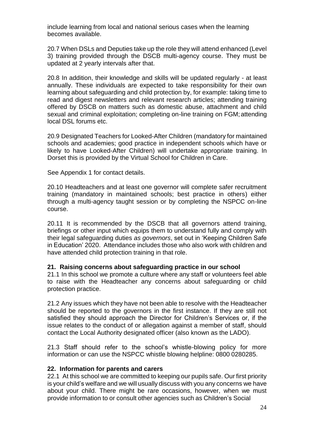include learning from local and national serious cases when the learning becomes available.

20.7 When DSLs and Deputies take up the role they will attend enhanced (Level 3) training provided through the DSCB multi-agency course. They must be updated at 2 yearly intervals after that.

20.8 In addition, their knowledge and skills will be updated regularly - at least annually. These individuals are expected to take responsibility for their own learning about safeguarding and child protection by, for example: taking time to read and digest newsletters and relevant research articles; attending training offered by DSCB on matters such as domestic abuse, attachment and child sexual and criminal exploitation; completing on-line training on FGM; attending local DSL forums etc.

20.9 Designated Teachers for Looked-After Children (mandatory for maintained schools and academies; good practice in independent schools which have or likely to have Looked-After Children) will undertake appropriate training. In Dorset this is provided by the Virtual School for Children in Care.

See Appendix 1 for contact details.

20.10 Headteachers and at least one governor will complete safer recruitment training (mandatory in maintained schools; best practice in others) either through a multi-agency taught session or by completing the NSPCC on-line course.

20.11 It is recommended by the DSCB that all governors attend training, briefings or other input which equips them to understand fully and comply with their legal safeguarding duties *as governors*, set out in 'Keeping Children Safe in Education' 2020. Attendance includes those who also work with children and have attended child protection training in that role.

#### <span id="page-23-0"></span>**21. Raising concerns about safeguarding practice in our school**

21.1 In this school we promote a culture where any staff or volunteers feel able to raise with the Headteacher any concerns about safeguarding or child protection practice.

21.2 Any issues which they have not been able to resolve with the Headteacher should be reported to the governors in the first instance. If they are still not satisfied they should approach the Director for Children's Services or, if the issue relates to the conduct of or allegation against a member of staff, should contact the Local Authority designated officer (also known as the LADO).

21.3 Staff should refer to the school's whistle-blowing policy for more information or can use the NSPCC whistle blowing helpline: 0800 0280285.

#### **22. Information for parents and carers**

22.1 At this school we are committed to keeping our pupils safe. Our first priority is your child's welfare and we will usually discuss with you any concerns we have about your child. There might be rare occasions, however, when we must provide information to or consult other agencies such as Children's Social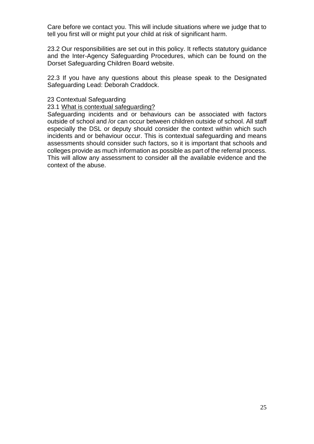Care before we contact you. This will include situations where we judge that to tell you first will or might put your child at risk of significant harm.

23.2 Our responsibilities are set out in this policy. It reflects statutory guidance and the Inter-Agency Safeguarding Procedures, which can be found on the Dorset Safeguarding Children Board website.

22.3 If you have any questions about this please speak to the Designated Safeguarding Lead: Deborah Craddock.

#### 23 Contextual Safeguarding

#### 23.1 [What is contextual](https://contextualsafeguarding.org.uk/about/what-is-contextual-safeguarding) safeguarding?

Safeguarding incidents and or behaviours can be associated with factors outside of school and /or can occur between children outside of school. All staff especially the DSL or deputy should consider the context within which such incidents and or behaviour occur. This is contextual safeguarding and means assessments should consider such factors, so it is important that schools and colleges provide as much information as possible as part of the referral process. This will allow any assessment to consider all the available evidence and the context of the abuse.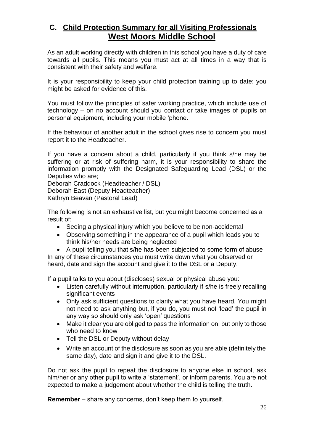## **C. Child Protection Summary for all Visiting Professionals West Moors Middle School**

As an adult working directly with children in this school you have a duty of care towards all pupils. This means you must act at all times in a way that is consistent with their safety and welfare.

It is your responsibility to keep your child protection training up to date; you might be asked for evidence of this.

You must follow the principles of safer working practice, which include use of technology – on no account should you contact or take images of pupils on personal equipment, including your mobile 'phone.

If the behaviour of another adult in the school gives rise to concern you must report it to the Headteacher.

If you have a concern about a child, particularly if you think s/he may be suffering or at risk of suffering harm, it is your responsibility to share the information promptly with the Designated Safeguarding Lead (DSL) or the Deputies who are;

Deborah Craddock (Headteacher / DSL) Deborah East (Deputy Headteacher) Kathryn Beavan (Pastoral Lead)

The following is not an exhaustive list, but you might become concerned as a result of:

- Seeing a physical injury which you believe to be non-accidental
- Observing something in the appearance of a pupil which leads you to think his/her needs are being neglected
- A pupil telling you that s/he has been subjected to some form of abuse

In any of these circumstances you must write down what you observed or heard, date and sign the account and give it to the DSL or a Deputy.

If a pupil talks to you about (discloses) sexual or physical abuse you:

- Listen carefully without interruption, particularly if s/he is freely recalling significant events
- Only ask sufficient questions to clarify what you have heard. You might not need to ask anything but, if you do, you must not 'lead' the pupil in any way so should only ask 'open' questions
- Make it clear you are obliged to pass the information on, but only to those who need to know
- Tell the DSL or Deputy without delay
- Write an account of the disclosure as soon as you are able (definitely the same day), date and sign it and give it to the DSL.

Do not ask the pupil to repeat the disclosure to anyone else in school, ask him/her or any other pupil to write a 'statement', or inform parents. You are not expected to make a judgement about whether the child is telling the truth.

**Remember** – share any concerns, don't keep them to yourself.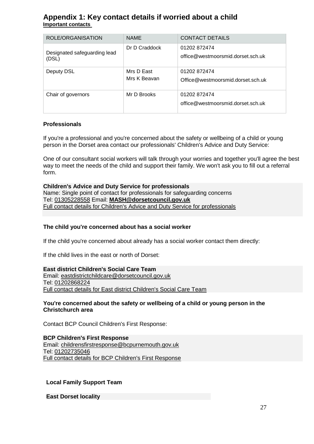## **Appendix 1: Key contact details if worried about a child Important contacts**

| ROLE/ORGANISATION                     | <b>NAME</b>                | <b>CONTACT DETAILS</b>                           |
|---------------------------------------|----------------------------|--------------------------------------------------|
| Designated safeguarding lead<br>(DSL) | Dr D Craddock              | 01202872474<br>office@westmoorsmid.dorset.sch.uk |
| Deputy DSL                            | Mrs D East<br>Mrs K Beavan | 01202872474<br>Office@westmoorsmid.dorset.sch.uk |
| Chair of governors                    | Mr D Brooks                | 01202872474<br>office@westmoorsmid.dorset.sch.uk |

#### **Professionals**

If you're a professional and you're concerned about the safety or wellbeing of a child or young person in the Dorset area contact our professionals' Children's Advice and Duty Service:

One of our consultant social workers will talk through your worries and together you'll agree the best way to meet the needs of the child and support their family. We won't ask you to fill out a referral form.

#### **Children's Advice and Duty Service for professionals** Name: Single point of contact for professionals for safeguarding concerns Tel: [01305228558](tel:01305228558) Email: **[MASH@dorsetcouncil.gov.uk](mailto:MASH@dorsetcouncil.gov.uk)** [Full contact details for Children's Advice and Duty Service for professionals](https://www.dorsetcouncil.gov.uk/contact/childrens-advice-and-duty-service-for-professionals.aspx)

#### **The child you're concerned about has a social worker**

If the child you're concerned about already has a social worker contact them directly:

If the child lives in the east or north of Dorset:

#### **East district Children's Social Care Team**

Email: [eastdistrictchildcare@dorsetcouncil.gov.uk](mailto:eastdistrictchildcare@dorsetcouncil.gov.uk) Tel: [01202868224](tel:01202868224) [Full contact details for East district Children's Social Care Team](https://www.dorsetcouncil.gov.uk/contact/east-dorset-childrens-social-care-team.aspx)

#### **You're concerned about the safety or wellbeing of a child or young person in the Christchurch area**

Contact BCP Council Children's First Response:

**BCP Children's First Response** Email: [childrensfirstresponse@bcpurnemouth.gov.uk](mailto:childrensfirstresponse@bcpurnemouth.gov.uk) Tel: [01202735046](tel:01202735046) [Full contact details for BCP Children's First Response](https://www.dorsetcouncil.gov.uk/contact/bcp-childrens-first-response.aspx)

## **Local Family Support Team**

**East Dorset locality**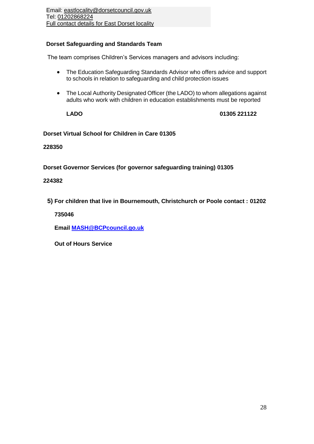Email: [eastlocality@dorsetcouncil.gov.uk](mailto:eastlocality@dorsetcouncil.gov.uk) Tel: [01202868224](tel:01202868224) [Full contact details for East Dorset locality](https://www.dorsetcouncil.gov.uk/contact/east-dorset-locality.aspx)

## **Dorset Safeguarding and Standards Team**

The team comprises Children's Services managers and advisors including:

- The Education Safeguarding Standards Advisor who offers advice and support to schools in relation to safeguarding and child protection issues
- The Local Authority Designated Officer (the LADO) to whom allegations against adults who work with children in education establishments must be reported

**LADO 01305 221122**

**Dorset Virtual School for Children in Care 01305**

**228350**

**Dorset Governor Services (for governor safeguarding training) 01305**

**224382**

**5) For children that live in Bournemouth, Christchurch or Poole contact : 01202**

**735046**

**Email [MASH@BCPcouncil.go.uk](mailto:MASH@BCPcouncil.go.uk)**

**Out of Hours Service**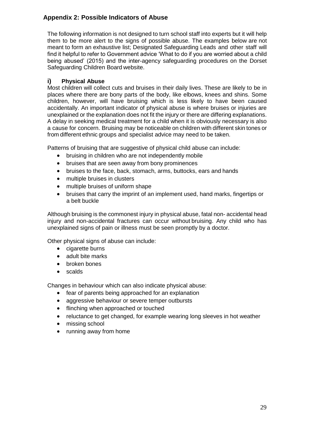## **Appendix 2: Possible Indicators of Abuse**

The following information is not designed to turn school staff into experts but it will help them to be more alert to the signs of possible abuse. The examples below are not meant to form an exhaustive list; Designated Safeguarding Leads and other staff will find it helpful to refer to Government advice 'What to do if you are worried about a child being abused' (2015) and the inter-agency safeguarding procedures on the Dorset Safeguarding Children Board website.

#### **i) Physical Abuse**

Most children will collect cuts and bruises in their daily lives. These are likely to be in places where there are bony parts of the body, like elbows, knees and shins. Some children, however, will have bruising which is less likely to have been caused accidentally. An important indicator of physical abuse is where bruises or injuries are unexplained or the explanation does not fit the injury or there are differing explanations. A delay in seeking medical treatment for a child when it is obviously necessary is also a cause for concern. Bruising may be noticeable on children with different skin tones or from different ethnic groups and specialist advice may need to be taken.

Patterns of bruising that are suggestive of physical child abuse can include:

- bruising in children who are not independently mobile
- bruises that are seen away from bony prominences
- bruises to the face, back, stomach, arms, buttocks, ears and hands
- multiple bruises in clusters
- multiple bruises of uniform shape
- bruises that carry the imprint of an implement used, hand marks, fingertips or a belt buckle

Although bruising is the commonest injury in physical abuse, fatal non- accidental head injury and non-accidental fractures can occur without bruising. Any child who has unexplained signs of pain or illness must be seen promptly by a doctor.

Other physical signs of abuse can include:

- cigarette burns
- adult bite marks
- broken bones
- scalds

Changes in behaviour which can also indicate physical abuse:

- fear of parents being approached for an explanation
- aggressive behaviour or severe temper outbursts
- flinching when approached or touched
- reluctance to get changed, for example wearing long sleeves in hot weather
- missing school
- running away from home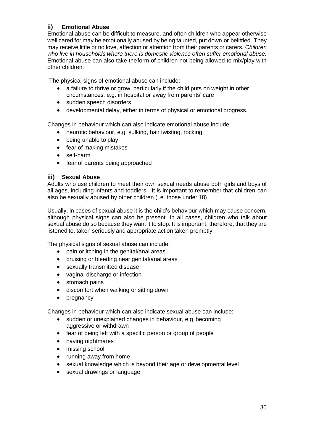## **ii) Emotional Abuse**

Emotional abuse can be difficult to measure, and often children who appear otherwise well cared for may be emotionally abused by being taunted, put down or belittled. They may receive little or no love, affection or attention from their parents or carers. *Children who live in households where there is domestic violence often suffer emotional abuse.*  Emotional abuse can also take theform of children not being allowed to mix/play with other children.

The physical signs of emotional abuse can include:

- a failure to thrive or grow, particularly if the child puts on weight in other circumstances, e.g. in hospital or away from parents' care
- sudden speech disorders
- developmental delay, either in terms of physical or emotional progress.

Changes in behaviour which can also indicate emotional abuse include:

- neurotic behaviour, e.g. sulking, hair twisting, rocking
- being unable to play
- fear of making mistakes
- self-harm
- fear of parents being approached

#### **iii) Sexual Abuse**

Adults who use children to meet their own sexual needs abuse both girls and boys of all ages, including infants and toddlers. It is important to remember that children can also be sexually abused by other children (i.e. those under 18)

Usually, in cases of sexual abuse it is the child's behaviour which may cause concern, although physical signs can also be present. In all cases, children who talk about sexual abuse do so because they want it to stop. It is important, therefore, that they are listened to, taken seriously and appropriate action taken promptly.

The physical signs of sexual abuse can include:

- pain or itching in the genital/anal areas
- bruising or bleeding near genital/anal areas
- sexually transmitted disease
- vaginal discharge or infection
- stomach pains
- discomfort when walking or sitting down
- pregnancy

Changes in behaviour which can also indicate sexual abuse can include:

- sudden or unexplained changes in behaviour, e.g. becoming aggressive or withdrawn
- fear of being left with a specific person or group of people
- having nightmares
- missing school
- running away from home
- sexual knowledge which is beyond their age or developmental level
- sexual drawings or language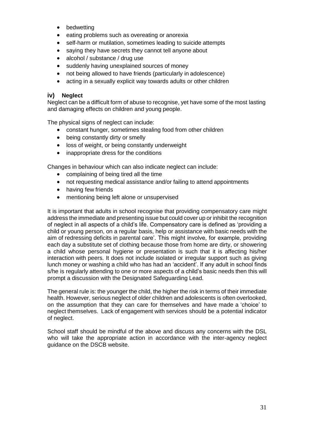- bedwetting
- eating problems such as overeating or anorexia
- self-harm or mutilation, sometimes leading to suicide attempts
- saying they have secrets they cannot tell anyone about
- alcohol / substance / drug use
- suddenly having unexplained sources of money
- not being allowed to have friends (particularly in adolescence)
- acting in a sexually explicit way towards adults or other children

#### **iv) Neglect**

Neglect can be a difficult form of abuse to recognise, yet have some of the most lasting and damaging effects on children and young people.

The physical signs of neglect can include:

- constant hunger, sometimes stealing food from other children
- being constantly dirty or smelly
- loss of weight, or being constantly underweight
- inappropriate dress for the conditions

Changes in behaviour which can also indicate neglect can include:

- complaining of being tired all the time
- not requesting medical assistance and/or failing to attend appointments
- having few friends
- mentioning being left alone or unsupervised

It is important that adults in school recognise that providing compensatory care might address the immediate and presenting issue but could cover up or inhibit the recognition of neglect in all aspects of a child's life. Compensatory care is defined as 'providing a child or young person, on a regular basis, help or assistance with basic needs with the aim of redressing deficits in parental care'. This might involve, for example, providing each day a substitute set of clothing because those from home are dirty, or showering a child whose personal hygiene or presentation is such that it is affecting his/her interaction with peers. It does not include isolated or irregular support such as giving lunch money or washing a child who has had an 'accident'. If any adult in school finds s/he is regularly attending to one or more aspects of a child's basic needs then this will prompt a discussion with the Designated Safeguarding Lead.

The general rule is: the younger the child, the higher the risk in terms of their immediate health. However, serious neglect of older children and adolescents is often overlooked, on the assumption that they can care for themselves and have made a 'choice' to neglect themselves. Lack of engagement with services should be a potential indicator of neglect.

School staff should be mindful of the above and discuss any concerns with the DSL who will take the appropriate action in accordance with the inter-agency neglect guidance on the DSCB website.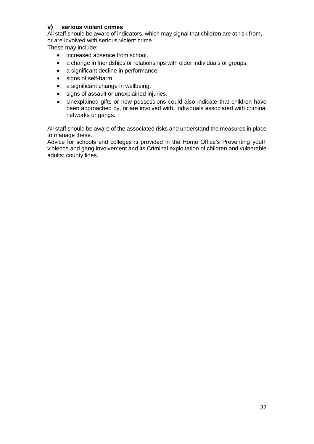#### **v) serious violent crimes**

All staff should be aware of indicators, which may signal that children are at risk from, or are involved with serious violent crime.

These may include:

- increased absence from school,
- a change in friendships or relationships with older individuals or groups,
- a significant decline in performance,
- signs of self-harm
- a significant change in wellbeing,
- signs of assault or unexplained injuries.
- Unexplained gifts or new possessions could also indicate that children have been approached by, or are involved with, individuals associated with criminal networks or gangs.

All staff should be aware of the associated risks and understand the measures in place to manage these.

Advice for schools and colleges is provided in the Home Office's Preventing youth violence and gang involvement and its Criminal exploitation of children and vulnerable adults: county lines.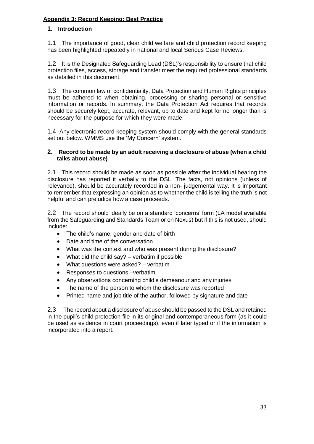#### **Appendix 3: Record Keeping: Best Practice**

#### **1. Introduction**

1.1 The importance of good, clear child welfare and child protection record keeping has been highlighted repeatedly in national and local Serious Case Reviews.

1.2 It is the Designated Safeguarding Lead (DSL)'s responsibility to ensure that child protection files, access, storage and transfer meet the required professional standards as detailed in this document.

1.3 The common law of confidentiality, Data Protection and Human Rights principles must be adhered to when obtaining, processing or sharing personal or sensitive information or records. In summary, the Data Protection Act requires that records should be securely kept, accurate, relevant, up to date and kept for no longer than is necessary for the purpose for which they were made.

1.4 Any electronic record keeping system should comply with the general standards set out below. WMMS use the 'My Concern' system.

#### **2. Record to be made by an adult receiving a disclosure of abuse (when a child talks about abuse)**

2.1 This record should be made as soon as possible **after** the individual hearing the disclosure has reported it verbally to the DSL. The facts, not opinions (unless of relevance), should be accurately recorded in a non- judgemental way. It is important to remember that expressing an opinion as to whether the child is telling the truth is not helpful and can prejudice how a case proceeds.

2.2 The record should ideally be on a standard 'concerns' form (LA model available from the Safeguarding and Standards Team or on Nexus) but if this is not used, should include:

- The child's name, gender and date of birth
- Date and time of the conversation
- What was the context and who was present during the disclosure?
- $\bullet$  What did the child say? verbatim if possible
- What questions were asked? verbatim
- Responses to questions –verbatim
- Any observations concerning child's demeanour and any injuries
- The name of the person to whom the disclosure was reported
- Printed name and job title of the author, followed by signature and date

2.3 The record about a disclosure of abuse should be passed to the DSL and retained in the pupil's child protection file in its original and contemporaneous form (as it could be used as evidence in court proceedings), even if later typed or if the information is incorporated into a report.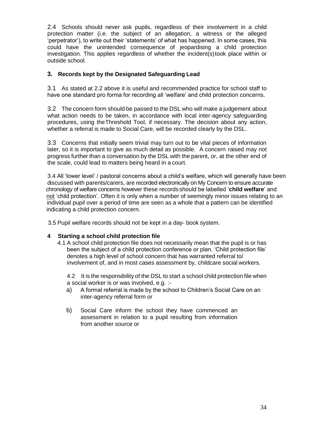2.4 Schools should never ask pupils, regardless of their involvement in a child protection matter (i.e. the subject of an allegation, a witness or the alleged 'perpetrator'), to write out their 'statements' of what has happened. In some cases, this could have the unintended consequence of jeopardising a child protection investigation. This applies regardless of whether the incident(s)took place within or outside school.

#### **3. Records kept by the Designated Safeguarding Lead**

3.1 As stated at 2.2 above it is useful and recommended practice for school staff to have one standard pro forma for recording all 'welfare' and child protection concerns.

3.2 The concern form should be passed to the DSL who will make a judgement about what action needs to be taken, in accordance with local inter-agency safeguarding procedures, using theThreshold Tool, if necessary. The decision about any action, whether a referral is made to Social Care, will be recorded clearly by the DSL.

3.3 Concerns that initially seem trivial may turn out to be vital pieces of information later, so it is important to give as much detail as possible. A concern raised may not progress further than a conversation by the DSL with the parent, or, at the other end of the scale, could lead to matters being heard in a court.

3.4 All 'lower level' / pastoral concerns about a child's welfare, which will generally have been discussed with parents/carers, are recorded electronically on My Concern to ensure accurate chronology of welfare concerns however these recordsshould be labelled '**child welfare**' and not 'child protection'. Often it is only when a number of seemingly minor issues relating to an individual pupil over a period of time are seen as a whole that a pattern can be identified indicating a child protection concern.

3.5 Pupil welfare records should not be kept in a day- book system.

#### **4 Starting a school child protection file**

4.1 A school child protection file does not necessarily mean that the pupil is or has been the subject of a child protection conference or plan. 'Child protection file' denotes a high level of school concern that has warranted referral to/ involvement of, and in most cases assessment by, childcare social workers.

4.2 It is the responsibility of the DSL to start a school child protection file when a social worker is or was involved, e.g. :-

- a) A formal referral is made by the school to Children's Social Care on an inter-agency referral form or
- b) Social Care inform the school they have commenced an assessment in relation to a pupil resulting from information from another source or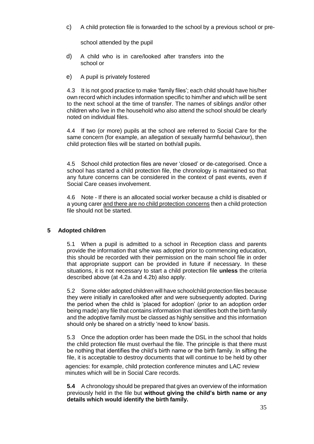c) A child protection file is forwarded to the school by a previous school or pre-

school attended by the pupil

- d) A child who is in care/looked after transfers into the school or
- e) A pupil is privately fostered

4.3 It is not good practice to make 'family files'; each child should have his/her own record which includes information specific to him/her and which will be sent to the next school at the time of transfer. The names of siblings and/or other children who live in the household who also attend the school should be clearly noted on individual files.

4.4 If two (or more) pupils at the school are referred to Social Care for the same concern (for example, an allegation of sexually harmful behaviour), then child protection files will be started on both/all pupils.

4.5 School child protection files are never 'closed' or de-categorised. Once a school has started a child protection file, the chronology is maintained so that any future concerns can be considered in the context of past events, even if Social Care ceases involvement.

4.6 Note - If there is an allocated social worker because a child is disabled or a young carer and there are no child protection concerns then a child protection file should not be started.

#### **5 Adopted children**

5.1 When a pupil is admitted to a school in Reception class and parents provide the information that s/he was adopted prior to commencing education, this should be recorded with their permission on the main school file in order that appropriate support can be provided in future if necessary. In these situations, it is not necessary to start a child protection file **unless** the criteria described above (at 4.2a and 4.2b) also apply.

5.2 Some older adopted children will have schoolchild protection files because they were initially in care/looked after and were subsequently adopted. During the period when the child is 'placed for adoption' (prior to an adoption order being made) any file that contains information that identifies both the birth family and the adoptive family must be classed as highly sensitive and this information should only be shared on a strictly 'need to know' basis.

5.3 Once the adoption order has been made the DSL in the school that holds the child protection file must overhaul the file. The principle is that there must be nothing that identifies the child's birth name or the birth family. In sifting the file, it is acceptable to destroy documents that will continue to be held by other

agencies: for example, child protection conference minutes and LAC review minutes which will be in Social Care records.

**5.4** A chronology should be prepared that gives an overview of the information previously held in the file but **without giving the child's birth name or any details which would identify the birth family.**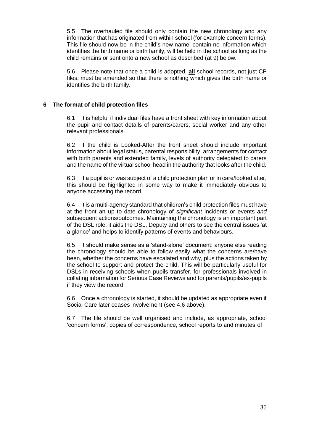5.5 The overhauled file should only contain the new chronology and any information that has originated from within school (for example concern forms). This file should now be in the child's new name, contain no information which identifies the birth name or birth family, will be held in the school as long as the child remains or sent onto a new school as described (at 9) below.

5.6 Please note that once a child is adopted, **all** school records, not just CP files, must be amended so that there is nothing which gives the birth name or identifies the birth family.

#### **6 The format of child protection files**

6.1 It is helpful if individual files have a front sheet with key information about the pupil and contact details of parents/carers, social worker and any other relevant professionals.

6.2 If the child is Looked-After the front sheet should include important information about legal status, parental responsibility, arrangements for contact with birth parents and extended family, levels of authority delegated to carers and the name of the virtual school head in the authority that looks after the child.

6.3 If a pupil is or was subject of a child protection plan or in care/looked after, this should be highlighted in some way to make it immediately obvious to anyone accessing the record.

6.4 It is a multi-agency standard that children's child protection files must have at the front an up to date chronology of *significant* incidents or events *and*  subsequent actions/outcomes. Maintaining the chronology is an important part of the DSL role; it aids the DSL, Deputy and others to see the central issues 'at a glance' and helps to identify patterns of events and behaviours.

6.5 It should make sense as a 'stand-alone' document: anyone else reading the chronology should be able to follow easily what the concerns are/have been, whether the concerns have escalated and why, plus the actions taken by the school to support and protect the child. This will be particularly useful for DSLs in receiving schools when pupils transfer, for professionals involved in collating information for Serious Case Reviews and for parents/pupils/ex-pupils if they view the record.

6.6 Once a chronology is started, it should be updated as appropriate even if Social Care later ceases involvement (see 4.6 above).

6.7 The file should be well organised and include, as appropriate, school 'concern forms', copies of correspondence, school reports to and minutes of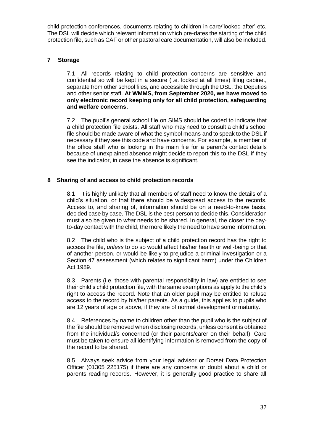child protection conferences, documents relating to children in care/'looked after' etc. The DSL will decide which relevant information which pre-dates the starting of the child protection file, such as CAF or other pastoral care documentation, will also be included.

#### **7 Storage**

7.1 All records relating to child protection concerns are sensitive and confidential so will be kept in a secure (i.e. locked at all times) filing cabinet, separate from other school files, and accessible through the DSL, the Deputies and other senior staff. **At WMMS, from September 2020, we have moved to only electronic record keeping only for all child protection, safeguarding and welfare concerns.**

7.2 The pupil's general school file on SIMS should be coded to indicate that a child protection file exists. All staff who may need to consult a child's school file should be made aware of what the symbol means and to speak to the DSL if necessary if they see this code and have concerns. For example, a member of the office staff who is looking in the main file for a parent's contact details because of unexplained absence might decide to report this to the DSL if they see the indicator, in case the absence is significant.

#### **8 Sharing of and access to child protection records**

8.1 It is highly unlikely that all members of staff need to know the details of a child's situation, or that there should be widespread access to the records. Access to, and sharing of, information should be on a need-to-know basis, decided case by case. The DSL is the best person to decide this. Consideration must also be given to *what* needs to be shared. In general, the closer the dayto-day contact with the child, the more likely the need to have some information.

8.2 The child who is the subject of a child protection record has the right to access the file, *unless* to do so would affect his/her health or well-being or that of another person, or would be likely to prejudice a criminal investigation or a Section 47 assessment (which relates to significant harm) under the Children Act 1989.

8.3 Parents (i.e. those with parental responsibility in law) are entitled to see their child's child protection file, with the same exemptions as apply to the child's right to access the record. Note that an older pupil may be entitled to refuse access to the record by his/her parents. As a guide, this applies to pupils who are 12 years of age or above, if they are of normal development or maturity.

8.4 References by name to children other than the pupil who is the subject of the file should be removed when disclosing records, unless consent is obtained from the individual/s concerned (or their parents/carer on their behalf). Care must be taken to ensure all identifying information is removed from the copy of the record to be shared.

8.5 Always seek advice from your legal advisor or Dorset Data Protection Officer (01305 225175) if there are any concerns or doubt about a child or parents reading records. However, it is generally good practice to share all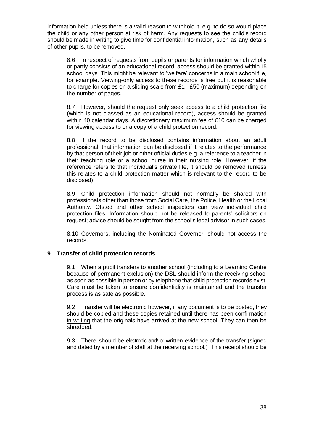information held unless there is a valid reason to withhold it, e.g. to do so would place the child or any other person at risk of harm. Any requests to see the child's record should be made in writing to give time for confidential information, such as any details of other pupils, to be removed.

8.6 In respect of requests from pupils or parents for information which wholly or partly consists of an educational record, access should be granted within15 school days. This might be relevant to 'welfare' concerns in a main school file, for example. Viewing-only access to these records is free but it is reasonable to charge for copies on a sliding scale from  $£1 - £50$  (maximum) depending on the number of pages.

8.7 However, should the request only seek access to a child protection file (which is not classed as an educational record), access should be granted within 40 calendar days. A discretionary maximum fee of £10 can be charged for viewing access to or a copy of a child protection record.

8.8 If the record to be disclosed contains information about an adult professional, that information can be disclosed if it relates to the performance by that person of their job or other official duties e.g. a reference to a teacher in their teaching role or a school nurse in their nursing role. However, if the reference refers to that individual's private life, it should be removed (unless this relates to a child protection matter which is relevant to the record to be disclosed).

8.9 Child protection information should not normally be shared with professionals other than those from Social Care, the Police, Health or the Local Authority. Ofsted and other school inspectors can view individual child protection files. Information should not be released to parents' solicitors on request; advice should be sought from the school's legal advisor in such cases.

8.10 Governors, including the Nominated Governor, should not access the records.

#### **9 Transfer of child protection records**

9.1 When a pupil transfers to another school (including to a Learning Centre because of permanent exclusion) the DSL should inform the receiving school as soon as possible in person or by telephone that child protection records exist. Care must be taken to ensure confidentiality is maintained and the transfer process is as safe as possible.

9.2 Transfer will be electronic however, if any document is to be posted, they should be copied and these copies retained until there has been confirmation in writing that the originals have arrived at the new school. They can then be shredded.

9.3 There should be electronic and/ or written evidence of the transfer (signed and dated by a member of staff at the receiving school.) This receipt should be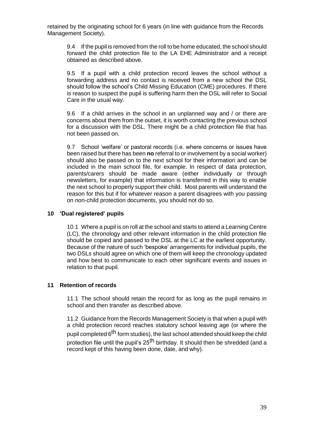retained by the originating school for 6 years (in line with guidance from the Records Management Society).

9.4 If the pupil is removed from the roll to be home educated, the school should forward the child protection file to the LA EHE Administrator and a receipt obtained as described above.

9.5 If a pupil with a child protection record leaves the school without a forwarding address and no contact is received from a new school the DSL should follow the school's Child Missing Education (CME) procedures. If there is reason to suspect the pupil is suffering harm then the DSL will refer to Social Care in the usual way.

9.6 If a child arrives in the school in an unplanned way and / or there are concerns about them from the outset, it is worth contacting the previous school for a discussion with the DSL. There might be a child protection file that has not been passed on.

9.7 School 'welfare' or pastoral records (i.e. where concerns or issues have been raised but there has been **no** referral to or involvement by a social worker) should also be passed on to the next school for their information and can be included in the main school file, for example. In respect of data protection, parents/carers should be made aware (either individually or through newsletters, for example) that information is transferred in this way to enable the next school to properly support their child. Most parents will understand the reason for this but if for whatever reason a parent disagrees with you passing on non-child protection documents, you should not do so.

#### **10 'Dual registered' pupils**

10.1 Where a pupil is on roll at the school and starts to attend a Learning Centre (LC), the chronology and other relevant information in the child protection file should be copied and passed to the DSL at the LC at the earliest opportunity. Because of the nature of such 'bespoke' arrangements for individual pupils, the two DSLs should agree on which one of them will keep the chronology updated and how best to communicate to each other significant events and issues in relation to that pupil.

#### **11 Retention of records**

11.1 The school should retain the record for as long as the pupil remains in school and then transfer as described above.

11.2 Guidance from the Records Management Society is that when a pupil with a child protection record reaches statutory school leaving age (or where the pupil completed 6<sup>th</sup> form studies), the last school attended should keep the child protection file until the pupil's 25<sup>th</sup> birthday. It should then be shredded (and a record kept of this having been done, date, and why).